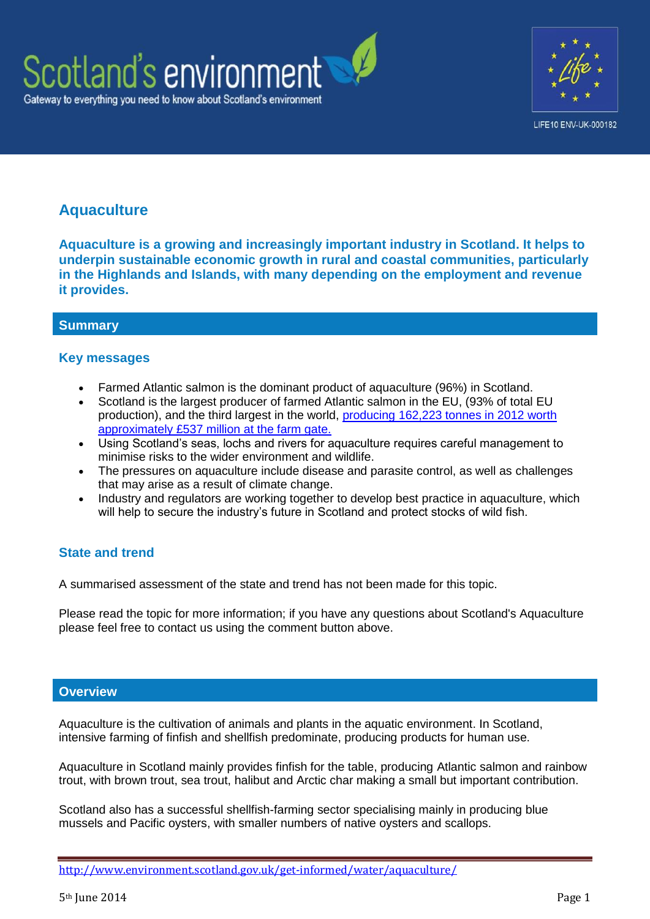



## **Aquaculture**

**Aquaculture is a growing and increasingly important industry in Scotland. It helps to underpin sustainable economic growth in rural and coastal communities, particularly in the Highlands and Islands, with many depending on the employment and revenue it provides.**

## **Summary**

## **Key messages**

- Farmed Atlantic salmon is the dominant product of aquaculture (96%) in Scotland.
- Scotland is the largest producer of farmed Atlantic salmon in the EU, (93% of total EU production), and the third largest in the world, [producing 162,223 tonnes in 2012 worth](http://aquaculture.scotland.gov.uk/our_aquaculture/our_aquaculture.aspx)  [approximately £537 million at the farm gate.](http://aquaculture.scotland.gov.uk/our_aquaculture/our_aquaculture.aspx)
- Using Scotland's seas, lochs and rivers for aquaculture requires careful management to minimise risks to the wider environment and wildlife.
- The pressures on aquaculture include disease and parasite control, as well as challenges that may arise as a result of climate change.
- Industry and regulators are working together to develop best practice in aquaculture, which will help to secure the industry's future in Scotland and protect stocks of wild fish.

## **State and trend**

A summarised assessment of the state and trend has not been made for this topic.

Please read the topic for more information; if you have any questions about Scotland's Aquaculture please feel free to contact us using the comment button above.

#### **Overview**

Aquaculture is the cultivation of animals and plants in the aquatic environment. In Scotland, intensive farming of finfish and shellfish predominate, producing products for human use.

Aquaculture in Scotland mainly provides finfish for the table, producing Atlantic salmon and rainbow trout, with brown trout, sea trout, halibut and Arctic char making a small but important contribution.

Scotland also has a successful shellfish-farming sector specialising mainly in producing blue mussels and Pacific oysters, with smaller numbers of native oysters and scallops.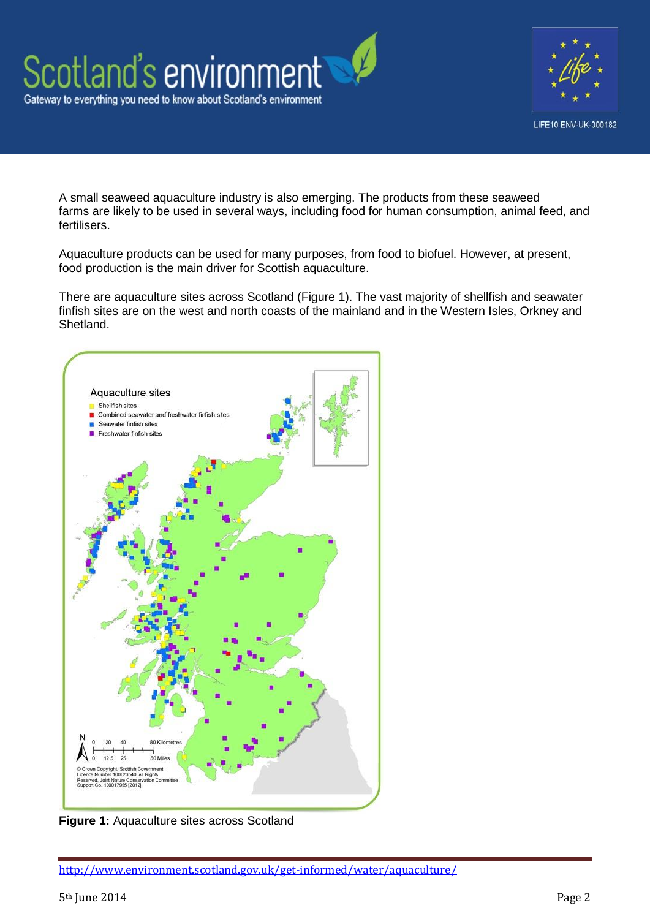



A small seaweed aquaculture industry is also emerging. The products from these seaweed farms are likely to be used in several ways, including food for human consumption, animal feed, and fertilisers.

Aquaculture products can be used for many purposes, from food to biofuel. However, at present, food production is the main driver for Scottish aquaculture.

There are aquaculture sites across Scotland (Figure 1). The vast majority of shellfish and seawater finfish sites are on the west and north coasts of the mainland and in the Western Isles, Orkney and Shetland.



**Figure 1:** Aquaculture sites across Scotland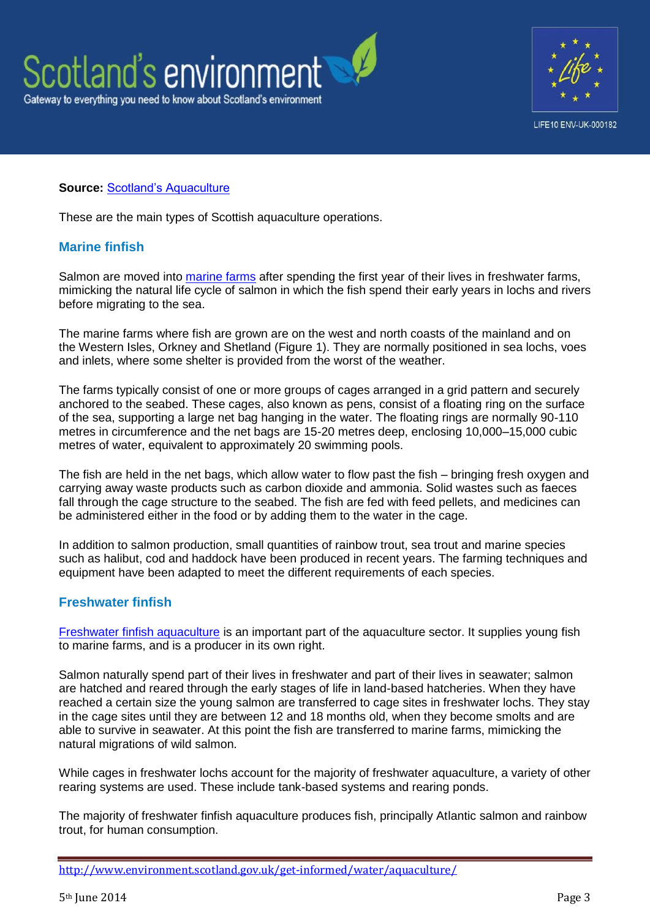



#### **Source:** [Scotland's Aquaculture](http://aquaculture.scotland.gov.uk/map/map.aspx)

These are the main types of Scottish aquaculture operations.

#### **Marine finfish**

Salmon are moved into [marine farms](http://aquaculture.scotland.gov.uk/our_aquaculture/types_of_aquaculture/marine_finfish.aspx) after spending the first year of their lives in freshwater farms, mimicking the natural life cycle of salmon in which the fish spend their early years in lochs and rivers before migrating to the sea.

The marine farms where fish are grown are on the west and north coasts of the mainland and on the Western Isles, Orkney and Shetland (Figure 1). They are normally positioned in sea lochs, voes and inlets, where some shelter is provided from the worst of the weather.

The farms typically consist of one or more groups of cages arranged in a grid pattern and securely anchored to the seabed. These cages, also known as pens, consist of a floating ring on the surface of the sea, supporting a large net bag hanging in the water. The floating rings are normally 90-110 metres in circumference and the net bags are 15-20 metres deep, enclosing 10,000–15,000 cubic metres of water, equivalent to approximately 20 swimming pools.

The fish are held in the net bags, which allow water to flow past the fish – bringing fresh oxygen and carrying away waste products such as carbon dioxide and ammonia. Solid wastes such as faeces fall through the cage structure to the seabed. The fish are fed with feed pellets, and medicines can be administered either in the food or by adding them to the water in the cage.

In addition to salmon production, small quantities of rainbow trout, sea trout and marine species such as halibut, cod and haddock have been produced in recent years. The farming techniques and equipment have been adapted to meet the different requirements of each species.

#### **Freshwater finfish**

[Freshwater finfish aquaculture](http://aquaculture.scotland.gov.uk/our_aquaculture/types_of_aquaculture/freshwater_finfish.aspx) is an important part of the aquaculture sector. It supplies young fish to marine farms, and is a producer in its own right.

Salmon naturally spend part of their lives in freshwater and part of their lives in seawater; salmon are hatched and reared through the early stages of life in land-based hatcheries. When they have reached a certain size the young salmon are transferred to cage sites in freshwater lochs. They stay in the cage sites until they are between 12 and 18 months old, when they become smolts and are able to survive in seawater. At this point the fish are transferred to marine farms, mimicking the natural migrations of wild salmon.

While cages in freshwater lochs account for the majority of freshwater aquaculture, a variety of other rearing systems are used. These include tank-based systems and rearing ponds.

The majority of freshwater finfish aquaculture produces fish, principally Atlantic salmon and rainbow trout, for human consumption.

<http://www.environment.scotland.gov.uk/get-informed/water/aquaculture/>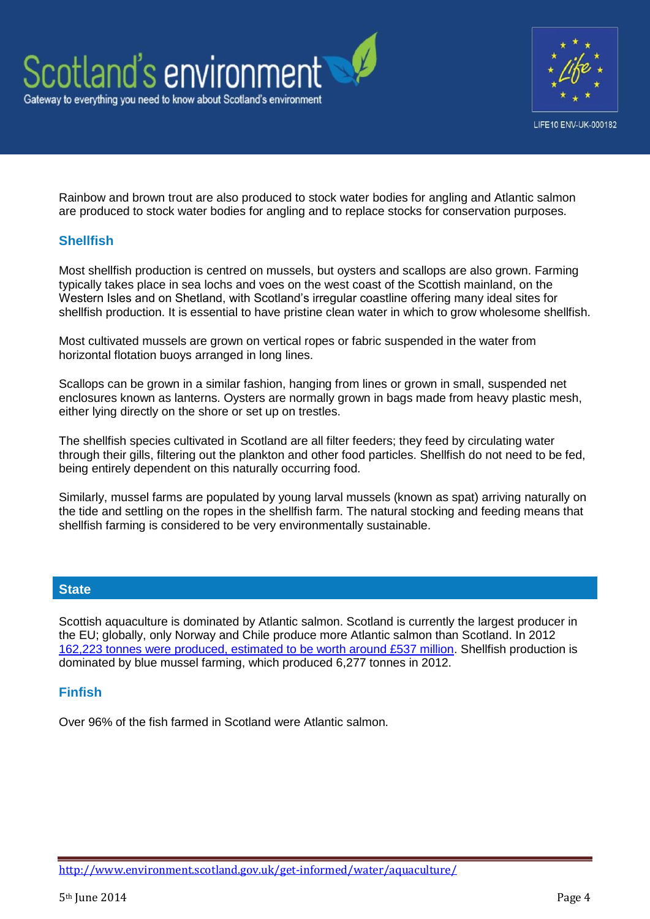



Rainbow and brown trout are also produced to stock water bodies for angling and Atlantic salmon are produced to stock water bodies for angling and to replace stocks for conservation purposes.

#### **Shellfish**

Most shellfish production is centred on mussels, but oysters and scallops are also grown. Farming typically takes place in sea lochs and voes on the west coast of the Scottish mainland, on the Western Isles and on Shetland, with Scotland's irregular coastline offering many ideal sites for shellfish production. It is essential to have pristine clean water in which to grow wholesome shellfish.

Most cultivated mussels are grown on vertical ropes or fabric suspended in the water from horizontal flotation buoys arranged in long lines.

Scallops can be grown in a similar fashion, hanging from lines or grown in small, suspended net enclosures known as lanterns. Oysters are normally grown in bags made from heavy plastic mesh, either lying directly on the shore or set up on trestles.

The shellfish species cultivated in Scotland are all filter feeders; they feed by circulating water through their gills, filtering out the plankton and other food particles. Shellfish do not need to be fed, being entirely dependent on this naturally occurring food.

Similarly, mussel farms are populated by young larval mussels (known as spat) arriving naturally on the tide and settling on the ropes in the shellfish farm. The natural stocking and feeding means that shellfish farming is considered to be very environmentally sustainable.

#### **State**

Scottish aquaculture is dominated by Atlantic salmon. Scotland is currently the largest producer in the EU; globally, only Norway and Chile produce more Atlantic salmon than Scotland. In 2012 [162,223 tonnes were produced, estimated to be worth around £537 million.](http://aquaculture.scotland.gov.uk/our_aquaculture/our_aquaculture.aspx) Shellfish production is dominated by blue mussel farming, which produced 6,277 tonnes in 2012.

#### **Finfish**

Over 96% of the fish farmed in Scotland were Atlantic salmon.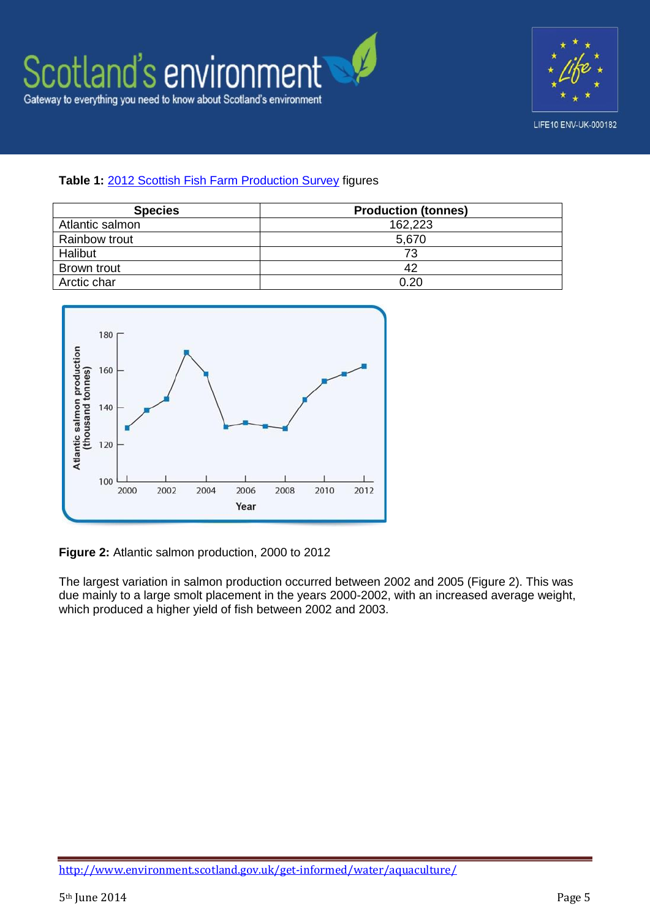



#### **Table 1:** [2012 Scottish Fish Farm Production Survey](http://www.scotland.gov.uk/Resource/0043/00433470.pdf) figures

| <b>Species</b>  | <b>Production (tonnes)</b> |
|-----------------|----------------------------|
| Atlantic salmon | 162,223                    |
| Rainbow trout   | 5,670                      |
| Halibut         | 73                         |
| Brown trout     | 42                         |
| Arctic char     | 0.20                       |



**Figure 2:** Atlantic salmon production, 2000 to 2012

The largest variation in salmon production occurred between 2002 and 2005 (Figure 2). This was due mainly to a large smolt placement in the years 2000-2002, with an increased average weight, which produced a higher yield of fish between 2002 and 2003.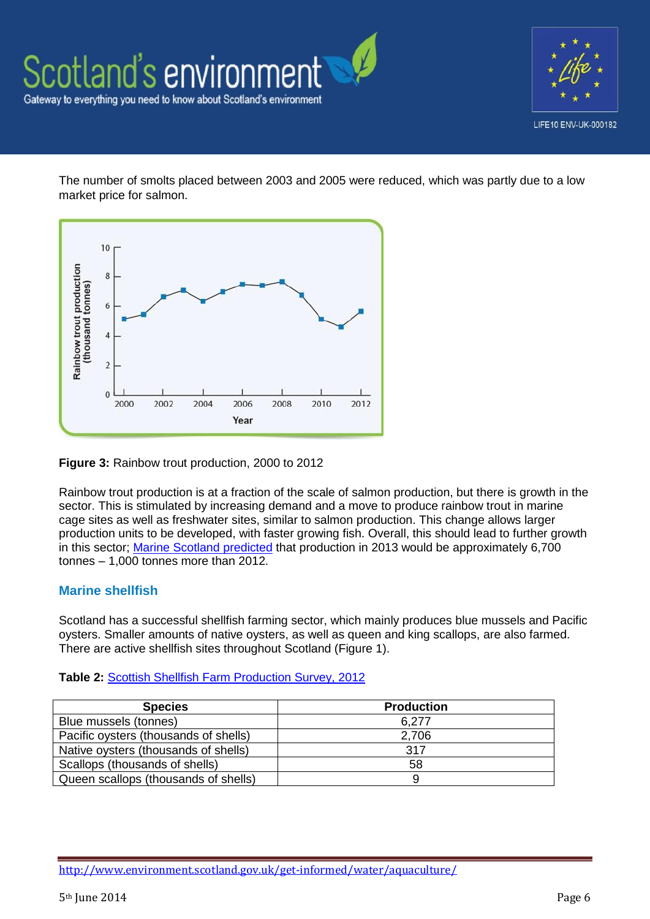



The number of smolts placed between 2003 and 2005 were reduced, which was partly due to a low market price for salmon.



**Figure 3:** Rainbow trout production, 2000 to 2012

Rainbow trout production is at a fraction of the scale of salmon production, but there is growth in the sector. This is stimulated by increasing demand and a move to produce rainbow trout in marine cage sites as well as freshwater sites, similar to salmon production. This change allows larger production units to be developed, with faster growing fish. Overall, this should lead to further growth in this sector; [Marine Scotland predicted](http://www.scotland.gov.uk/Topics/marine/science/Publications/stats/FishFarmProductionSurveys) that production in 2013 would be approximately 6,700 tonnes – 1,000 tonnes more than 2012.

## **Marine shellfish**

Scotland has a successful shellfish farming sector, which mainly produces blue mussels and Pacific oysters. Smaller amounts of native oysters, as well as queen and king scallops, are also farmed. There are active shellfish sites throughout Scotland (Figure 1).

#### **Table 2:** [Scottish Shellfish Farm Production Survey, 2012](http://www.scotland.gov.uk/Resource/0042/00422964.pdf)

| <b>Species</b>                        | <b>Production</b> |
|---------------------------------------|-------------------|
| Blue mussels (tonnes)                 | 6.277             |
| Pacific oysters (thousands of shells) | 2,706             |
| Native oysters (thousands of shells)  | 317               |
| Scallops (thousands of shells)        | 58                |
| Queen scallops (thousands of shells)  |                   |

<http://www.environment.scotland.gov.uk/get-informed/water/aquaculture/>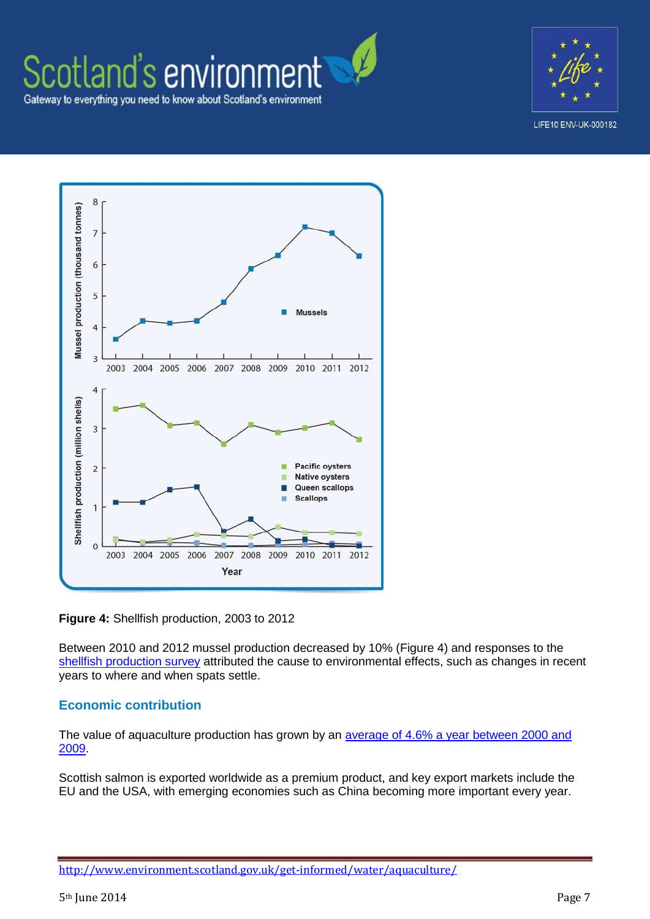# Scotland's environment Gateway to everything you need to know about Scotland's environment



LIFE10 ENV-UK-000182



**Figure 4:** Shellfish production, 2003 to 2012

Between 2010 and 2012 mussel production decreased by 10% (Figure 4) and responses to the [shellfish production survey](http://www.scotland.gov.uk/Resource/0042/00422964.pdf) attributed the cause to environmental effects, such as changes in recent years to where and when spats settle.

#### **Economic contribution**

The value of aquaculture production has grown by an *average of 4.6% a year between 2000 and* [2009.](http://www.scotland.gov.uk/Publications/2012/12/3988/4)

Scottish salmon is exported worldwide as a premium product, and key export markets include the EU and the USA, with emerging economies such as China becoming more important every year.

<http://www.environment.scotland.gov.uk/get-informed/water/aquaculture/>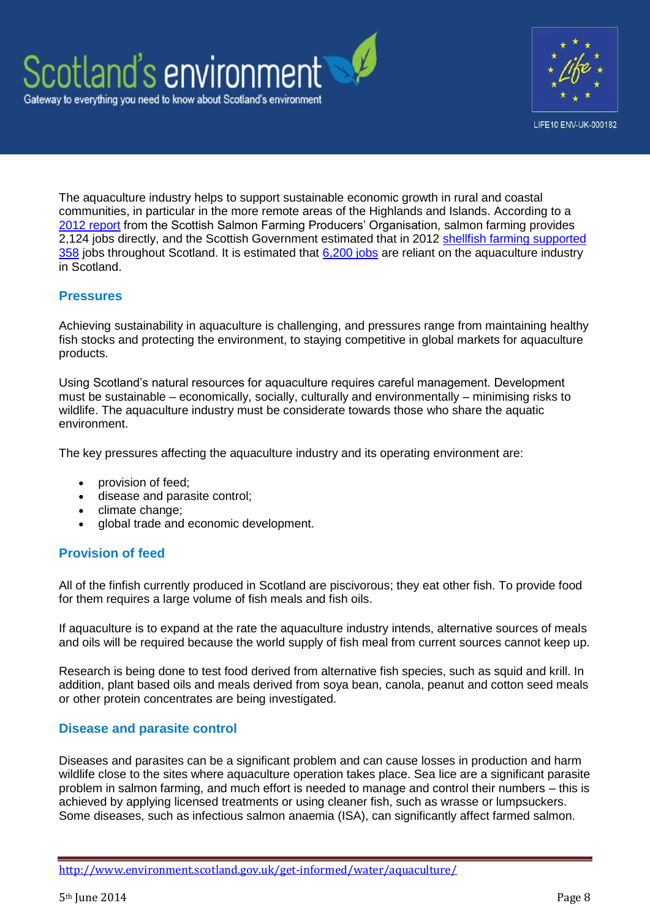



The aquaculture industry helps to support sustainable economic growth in rural and coastal communities, in particular in the more remote areas of the Highlands and Islands. According to a [2012 report](http://www.scottishsalmon.co.uk/userFiles/886/FINAL_SSPO_Industry_Survey_Report.April_2012.pdf) from the Scottish Salmon Farming Producers' Organisation, salmon farming provides 2.124 iobs directly, and the Scottish Government estimated that in 2012 shellfish farming supported [358](http://www.scotland.gov.uk/Resource/0042/00422964.pdf) jobs throughout Scotland. It is estimated that [6,200 jobs](http://www.scotland.gov.uk/Publications/2011/02/24095442/5) are reliant on the aquaculture industry in Scotland.

#### **Pressures**

Achieving sustainability in aquaculture is challenging, and pressures range from maintaining healthy fish stocks and protecting the environment, to staying competitive in global markets for aquaculture products.

Using Scotland's natural resources for aquaculture requires careful management. Development must be sustainable – economically, socially, culturally and environmentally – minimising risks to wildlife. The aquaculture industry must be considerate towards those who share the aquatic environment.

The key pressures affecting the aquaculture industry and its operating environment are:

- provision of feed;
- disease and parasite control;
- climate change;
- global trade and economic development.

#### **Provision of feed**

All of the finfish currently produced in Scotland are piscivorous; they eat other fish. To provide food for them requires a large volume of fish meals and fish oils.

If aquaculture is to expand at the rate the aquaculture industry intends, alternative sources of meals and oils will be required because the world supply of fish meal from current sources cannot keep up.

Research is being done to test food derived from alternative fish species, such as squid and krill. In addition, plant based oils and meals derived from soya bean, canola, peanut and cotton seed meals or other protein concentrates are being investigated.

#### **Disease and parasite control**

Diseases and parasites can be a significant problem and can cause losses in production and harm wildlife close to the sites where aquaculture operation takes place. Sea lice are a significant parasite problem in salmon farming, and much effort is needed to manage and control their numbers – this is achieved by applying licensed treatments or using cleaner fish, such as wrasse or lumpsuckers. Some diseases, such as infectious salmon anaemia (ISA), can significantly affect farmed salmon.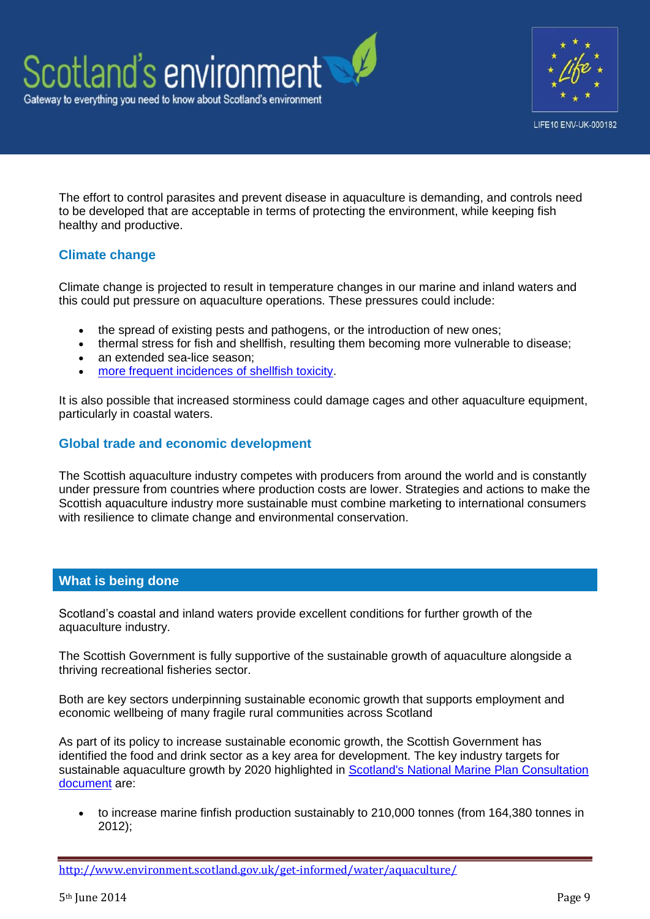



The effort to control parasites and prevent disease in aquaculture is demanding, and controls need to be developed that are acceptable in terms of protecting the environment, while keeping fish healthy and productive.

## **Climate change**

Climate change is projected to result in temperature changes in our marine and inland waters and this could put pressure on aquaculture operations. These pressures could include:

- the spread of existing pests and pathogens, or the introduction of new ones;
- thermal stress for fish and shellfish, resulting them becoming more vulnerable to disease;
- an extended sea-lice season;
- [more frequent incidences of shellfish toxicity.](http://www.mccip.org.uk/media/2968/aquaculture-report-from-frs.pdf)

It is also possible that increased storminess could damage cages and other aquaculture equipment, particularly in coastal waters.

## **Global trade and economic development**

The Scottish aquaculture industry competes with producers from around the world and is constantly under pressure from countries where production costs are lower. Strategies and actions to make the Scottish aquaculture industry more sustainable must combine marketing to international consumers with resilience to climate change and environmental conservation.

#### **What is being done**

Scotland's coastal and inland waters provide excellent conditions for further growth of the aquaculture industry.

The Scottish Government is fully supportive of the sustainable growth of aquaculture alongside a thriving recreational fisheries sector.

Both are key sectors underpinning sustainable economic growth that supports employment and economic wellbeing of many fragile rural communities across Scotland

As part of its policy to increase sustainable economic growth, the Scottish Government has identified the food and drink sector as a key area for development. The key industry targets for sustainable aquaculture growth by 2020 highlighted in Scotland's National Marine Plan Consultation [document](http://www.scotland.gov.uk/Publications/2011/03/21114728/0) are:

 to increase marine finfish production sustainably to 210,000 tonnes (from 164,380 tonnes in 2012);

<http://www.environment.scotland.gov.uk/get-informed/water/aquaculture/>